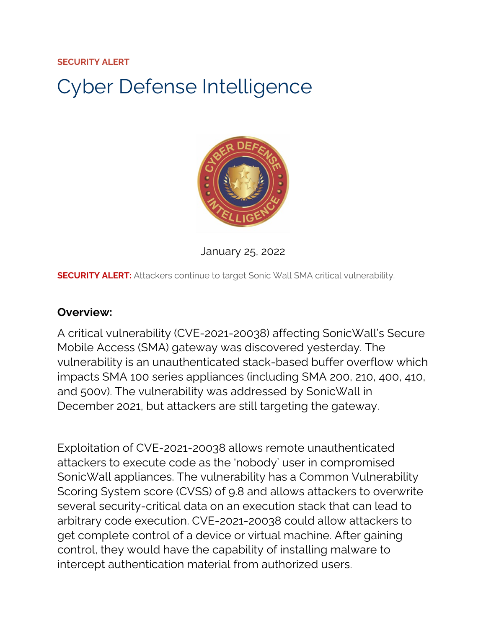#### **SECURITY ALERT**

# Cyber Defense Intelligence



January 25, 2022

**SECURITY ALERT:** Attackers continue to target Sonic Wall SMA critical vulnerability.

#### **Overview:**

A critical vulnerability (CVE-2021-20038) affecting SonicWall's Secure Mobile Access (SMA) gateway was discovered yesterday. The vulnerability is an unauthenticated stack-based buffer overflow which impacts SMA 100 series appliances (including SMA 200, 210, 400, 410, and 500v). The vulnerability was addressed by SonicWall in December 2021, but attackers are still targeting the gateway.

Exploitation of CVE-2021-20038 allows remote unauthenticated attackers to execute code as the 'nobody' user in compromised SonicWall appliances. The vulnerability has a Common Vulnerability Scoring System score (CVSS) of 9.8 and allows attackers to overwrite several security-critical data on an execution stack that can lead to arbitrary code execution. CVE-2021-20038 could allow attackers to get complete control of a device or virtual machine. After gaining control, they would have the capability of installing malware to intercept authentication material from authorized users.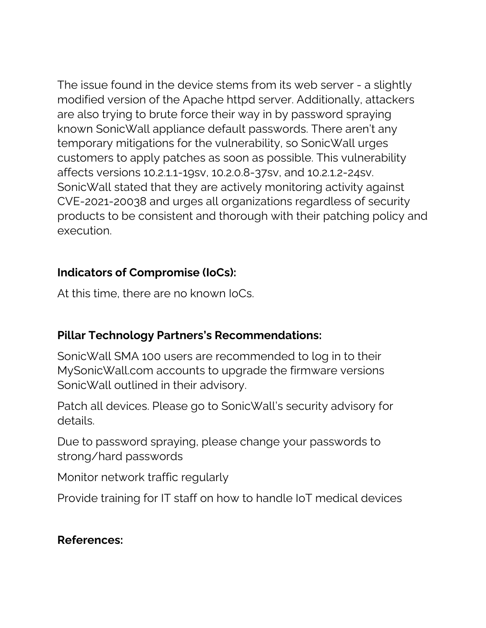The issue found in the device stems from its web server - a slightly modified version of the Apache httpd server. Additionally, attackers are also trying to brute force their way in by password spraying known SonicWall appliance default passwords. There aren't any temporary mitigations for the vulnerability, so SonicWall urges customers to apply patches as soon as possible. This vulnerability affects versions 10.2.1.1-19sv, 10.2.0.8-37sv, and 10.2.1.2-24sv. SonicWall stated that they are actively monitoring activity against CVE-2021-20038 and urges all organizations regardless of security products to be consistent and thorough with their patching policy and execution.

### **Indicators of Compromise (IoCs):**

At this time, there are no known IoCs.

## **Pillar Technology Partners's Recommendations:**

SonicWall SMA 100 users are recommended to log in to their MySonicWall.com accounts to upgrade the firmware versions SonicWall outlined in their advisory.

Patch all devices. Please go to SonicWall's security advisory for details.

Due to password spraying, please change your passwords to strong/hard passwords

Monitor network traffic regularly

Provide training for IT staff on how to handle IoT medical devices

### **References:**